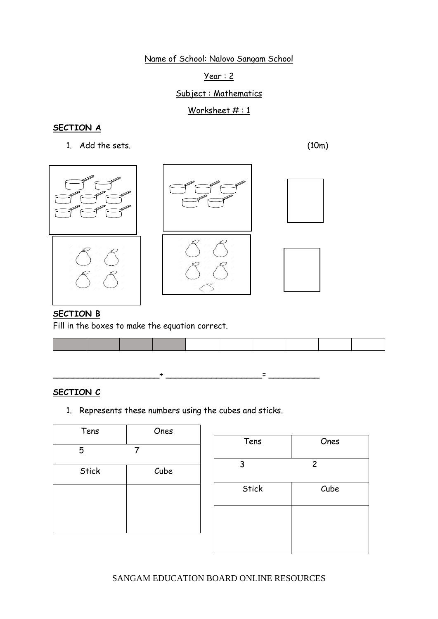#### Year : 2

### Subject : Mathematics

### Worksheet  $# : 1$

### **SECTION A**

1. Add the sets. (10m)



#### **SECTION B**

Fill in the boxes to make the equation correct.

### **SECTION C**

1. Represents these numbers using the cubes and sticks.

\_\_\_\_\_\_\_\_\_\_\_\_\_\_\_\_\_\_\_\_\_+ \_\_\_\_\_\_\_\_\_\_\_\_\_\_\_\_\_\_\_= \_\_\_\_\_\_\_\_\_\_

| Tens         | Ones |
|--------------|------|
| 5            |      |
| <b>Stick</b> | Cube |
|              |      |
|              |      |
|              |      |

| Tens         | Ones           |
|--------------|----------------|
| 3            | $\overline{c}$ |
| <b>Stick</b> | Cube           |
|              |                |
|              |                |

SANGAM EDUCATION BOARD ONLINE RESOURCES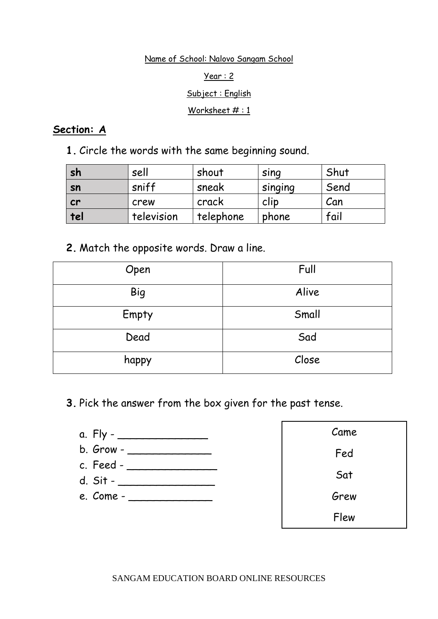### Year : 2

### Subject : English

### Worksheet #: 1

## **Section: A**

**1.** Circle the words with the same beginning sound.

| sh  | sell       | shout     | SING    | Shut |
|-----|------------|-----------|---------|------|
| sn  | sniff      | sneak     | singing | Send |
| cr  | crew       | crack     | clip    | Can  |
| tel | television | telephone | phone   | fail |

# **2.** Match the opposite words. Draw a line.

| Open       | Full  |
|------------|-------|
| <b>Big</b> | Alive |
| Empty      | Small |
| Dead       | Sad   |
| happy      | Close |

**3.** Pick the answer from the box given for the past tense.



| Came |
|------|
| Fed  |
| Sat  |
| Grew |
| Flew |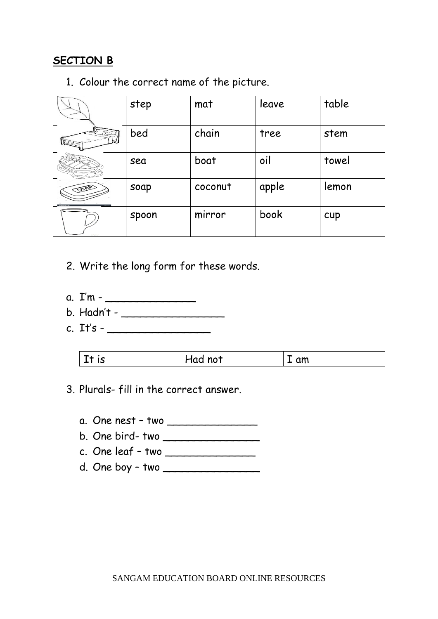# **SECTION B**

1. Colour the correct name of the picture.

|     | step  | mat     | leave | table |
|-----|-------|---------|-------|-------|
|     | bed   | chain   | tree  | stem  |
|     | sea   | boat    | oil   | towel |
| SAR | soap  | coconut | apple | lemon |
|     | spoon | mirror  | book  | cup   |

- 2. Write the long form for these words.
- a. I'm \_\_\_\_\_\_\_\_\_\_\_\_\_\_
- b. Hadn't \_\_\_\_\_\_\_\_\_\_\_\_\_\_\_\_
- c. It's \_\_\_\_\_\_\_\_\_\_\_\_\_\_\_\_

| .<br>' not<br><u>cm</u><br>. <i>.</i> .<br>ျဌ<br>пии<br>$T$ and<br>- - |
|------------------------------------------------------------------------|
|------------------------------------------------------------------------|

- 3. Plurals- fill in the correct answer.
	- a. One nest two \_\_\_\_\_\_\_\_\_\_\_\_\_\_
	- b. One bird- two \_\_\_\_\_\_\_\_\_\_\_\_\_\_\_
	- c. One leaf two \_\_\_\_\_\_\_\_\_\_\_\_\_\_
	- d. One boy two \_\_\_\_\_\_\_\_\_\_\_\_\_\_\_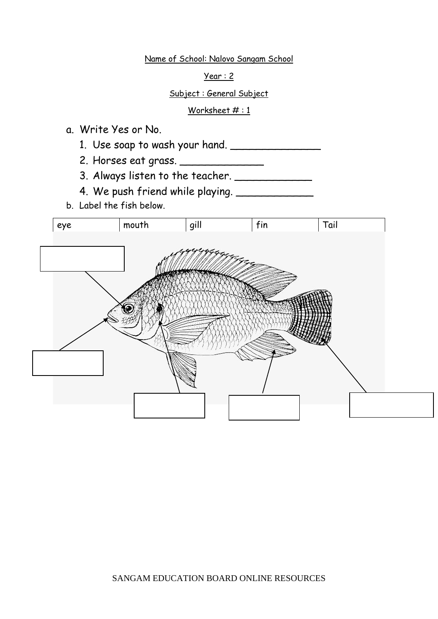Year : 2

Subject : General Subject

### Worksheet #: 1

a. Write Yes or No.

1. Use soap to wash your hand. \_\_\_\_\_\_\_\_\_\_\_\_\_\_

2. Horses eat grass. \_\_\_\_\_\_\_\_\_\_\_\_\_\_\_

3. Always listen to the teacher. \_\_\_\_\_\_\_\_\_\_\_\_

4. We push friend while playing. \_\_\_\_\_\_\_\_\_\_\_\_

b. Label the fish below.